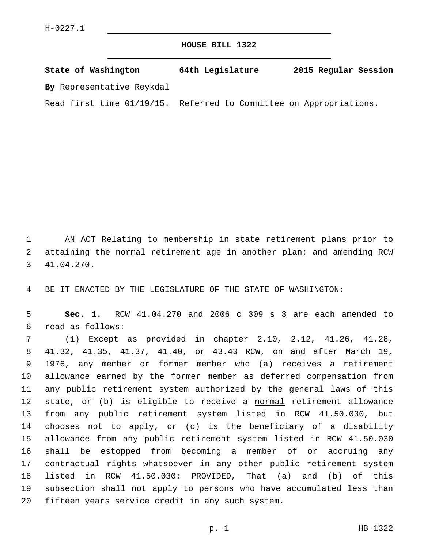## **HOUSE BILL 1322**

| State of Washington          | 64th Legislature                         | 2015 Regular Session |
|------------------------------|------------------------------------------|----------------------|
| By Representative Reykdal    |                                          |                      |
| Read first time $01/19/15$ . | Referred to Committee on Appropriations. |                      |

 AN ACT Relating to membership in state retirement plans prior to attaining the normal retirement age in another plan; and amending RCW 41.04.270.3

BE IT ENACTED BY THE LEGISLATURE OF THE STATE OF WASHINGTON:

 **Sec. 1.** RCW 41.04.270 and 2006 c 309 s 3 are each amended to read as follows:6

 (1) Except as provided in chapter 2.10, 2.12, 41.26, 41.28, 41.32, 41.35, 41.37, 41.40, or 43.43 RCW, on and after March 19, 1976, any member or former member who (a) receives a retirement allowance earned by the former member as deferred compensation from any public retirement system authorized by the general laws of this 12 state, or (b) is eligible to receive a normal retirement allowance from any public retirement system listed in RCW 41.50.030, but chooses not to apply, or (c) is the beneficiary of a disability allowance from any public retirement system listed in RCW 41.50.030 shall be estopped from becoming a member of or accruing any contractual rights whatsoever in any other public retirement system listed in RCW 41.50.030: PROVIDED, That (a) and (b) of this subsection shall not apply to persons who have accumulated less than 20 fifteen years service credit in any such system.